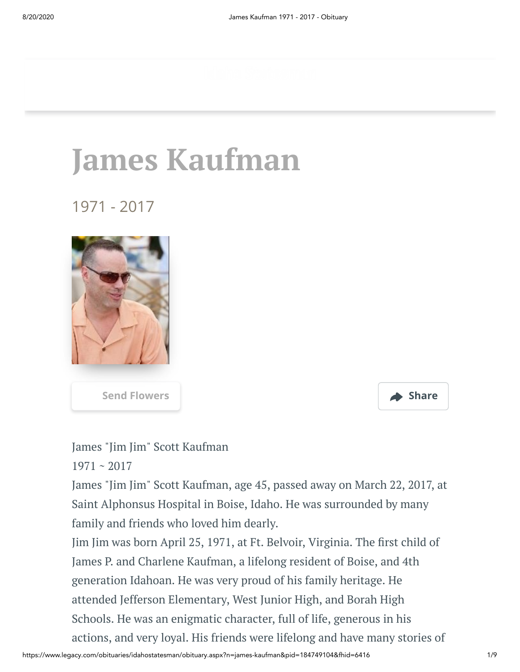# **James Kaufman**

1971 - 2017





James "Jim Jim" Scott Kaufman

1971 ~ 2017

James "Jim Jim" Scott Kaufman, age 45, passed away on March 22, 2017, at Saint Alphonsus Hospital in Boise, Idaho. He was surrounded by many family and friends who loved him dearly.

Jim Jim was born April 25, 1971, at Ft. Belvoir, Virginia. The first child of James P. and Charlene Kaufman, a lifelong resident of Boise, and 4th generation Idahoan. He was very proud of his family heritage. He attended Jefferson Elementary, West Junior High, and Borah High Schools. He was an enigmatic character, full of life, generous in his actions, and very loyal. His friends were lifelong and have many stories of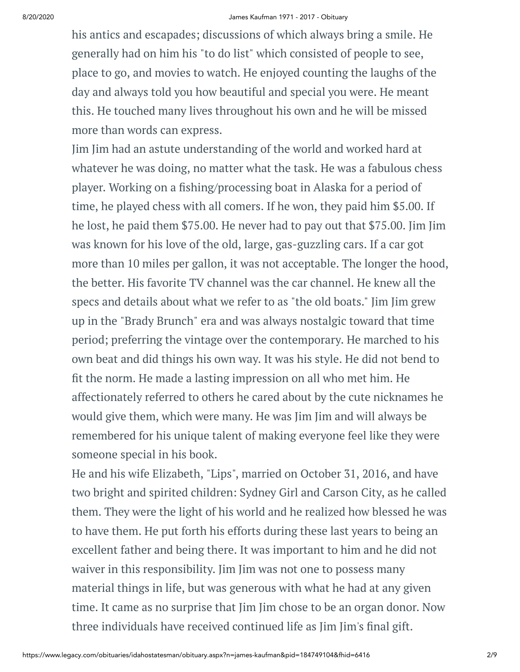#### 8/20/2020 James Kaufman 1971 - 2017 - Obituary

his antics and escapades; discussions of which always bring a smile. He generally had on him his "to do list" which consisted of people to see, place to go, and movies to watch. He enjoyed counting the laughs of the day and always told you how beautiful and special you were. He meant this. He touched many lives throughout his own and he will be missed more than words can express.

Jim Jim had an astute understanding of the world and worked hard at whatever he was doing, no matter what the task. He was a fabulous chess player. Working on a fishing/processing boat in Alaska for a period of time, he played chess with all comers. If he won, they paid him \$5.00. If he lost, he paid them \$75.00. He never had to pay out that \$75.00. Jim Jim was known for his love of the old, large, gas-guzzling cars. If a car got more than 10 miles per gallon, it was not acceptable. The longer the hood, the better. His favorite TV channel was the car channel. He knew all the specs and details about what we refer to as "the old boats." Jim Jim grew up in the "Brady Brunch" era and was always nostalgic toward that time period; preferring the vintage over the contemporary. He marched to his own beat and did things his own way. It was his style. He did not bend to fit the norm. He made a lasting impression on all who met him. He affectionately referred to others he cared about by the cute nicknames he would give them, which were many. He was Jim Jim and will always be remembered for his unique talent of making everyone feel like they were someone special in his book.

He and his wife Elizabeth, "Lips", married on October 31, 2016, and have two bright and spirited children: Sydney Girl and Carson City, as he called them. They were the light of his world and he realized how blessed he was to have them. He put forth his efforts during these last years to being an excellent father and being there. It was important to him and he did not waiver in this responsibility. Jim Jim was not one to possess many material things in life, but was generous with what he had at any given time. It came as no surprise that Jim Jim chose to be an organ donor. Now three individuals have received continued life as Jim Jim's final gift.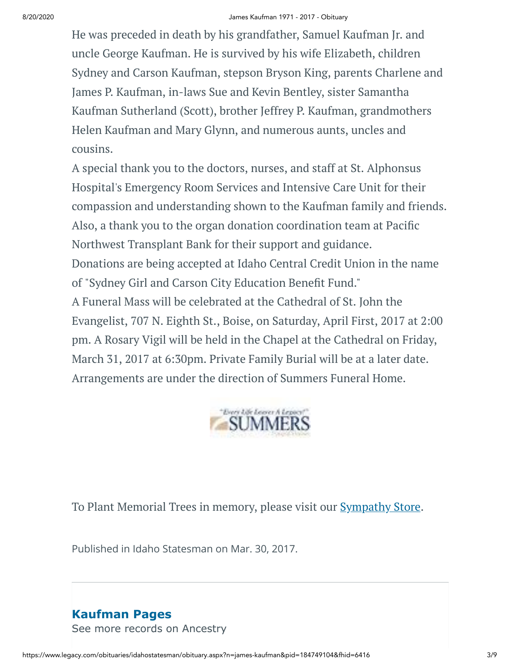#### 8/20/2020 James Kaufman 1971 - 2017 - Obituary

He was preceded in death by his grandfather, Samuel Kaufman Jr. and uncle George Kaufman. He is survived by his wife Elizabeth, children Sydney and Carson Kaufman, stepson Bryson King, parents Charlene and James P. Kaufman, in-laws Sue and Kevin Bentley, sister Samantha Kaufman Sutherland (Scott), brother Jeffrey P. Kaufman, grandmothers Helen Kaufman and Mary Glynn, and numerous aunts, uncles and cousins.

A special thank you to the doctors, nurses, and staff at St. Alphonsus Hospital's Emergency Room Services and Intensive Care Unit for their compassion and understanding shown to the Kaufman family and friends. Also, a thank you to the organ donation coordination team at Pacific Northwest Transplant Bank for their support and guidance. Donations are being accepted at Idaho Central Credit Union in the name of "Sydney Girl and Carson City Education Benefit Fund."

A Funeral Mass will be celebrated at the Cathedral of St. John the Evangelist, 707 N. Eighth St., Boise, on Saturday, April First, 2017 at 2:00 pm. A Rosary Vigil will be held in the Chapel at the Cathedral on Friday, March 31, 2017 at 6:30pm. Private Family Burial will be at a later date. Arrangements are under the direction of Summers Funeral Home.



To Plant Memorial Trees in memory, please visit our **[Sympathy](https://sympathy.legacy.com/en-us/funeral-flowers/name/james-kaufman-funeral-flowers/p184749104/?affiliateId=1525&pm=240) Store**.

Published in Idaho Statesman on Mar. 30, 2017.

## **Kaufman Pages** [See more records on Ancestry](https://adclick.g.doubleclick.net/pcs/click?xai=AKAOjsv5vMJpF7dyvxFcw8VrkAPtqPABZsarhexEKcfJaqzBdo9iJocayVfzIWulXlR-8iqFt7HKYDDJmeRetRJ4EUAM6qbiq1nPQtahHdehZs63LPkN-U45Atvift3-GiPkfrP81tO4T4ImW0gz5bUhKSyJYsAzKejaNc-eHCClo6TJbS4y5ZpRvzD-racGiQZ3mnS3EhKKuJPG8pocALnhV9kGz0mAVNDb6mErA2PEJKnI-CDqa-D0uNSWtOm2kMYFtTS0IKWMDdNT62cYdFhCuh9ykIRGkpXe1sawwf7cnUPf5VpvSNjmKw&sig=Cg0ArKJSzOM2VVO-qDevEAE&urlfix=1&adurl=https://prf.hn/click/camref:1101l3yjc/adref:77841/destination:https://www.ancestry.com/cs/partner-records%3FflowId%3DpartnersBirth%26gsfn%3DJames%26gsln%3DKaufman)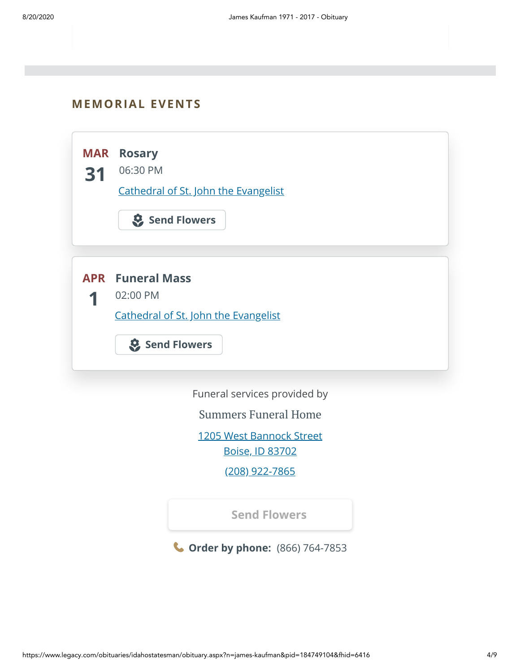#### **MEMORIAL EVENTS**



**Order by phone:** (866) 764-7853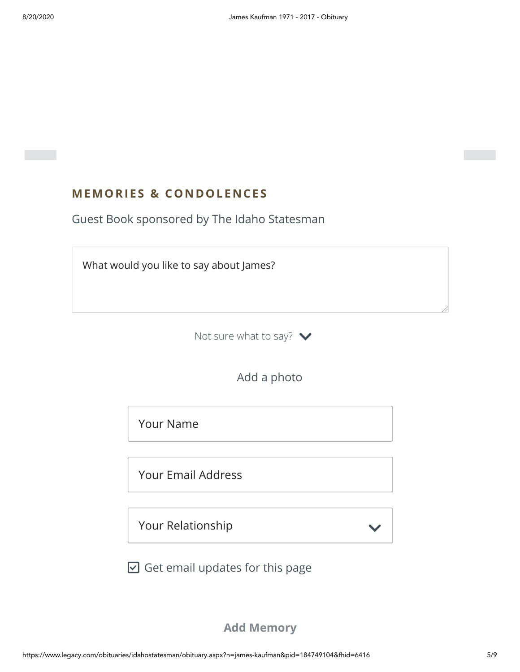### **MEMORIES & CO N DOLE N CES**

Guest Book sponsored by The Idaho Statesman



Not sure what to say?  $\blacktriangleright$ 

Add a photo

Your Name

Your Email Address

Your Relationship

 $\boxdot$  Get email updates for this page

**Add Memory**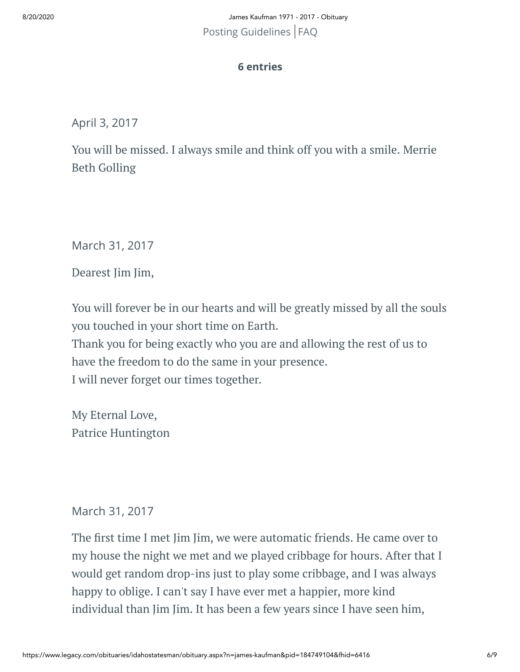8/20/2020 James Kaufman 1971 - 2017 - Obituary [Posting Guidelines](https://www.legacy.com/guestbooks/posting-guidelines.aspx?n=James-Kaufman&pid=184749104) | [FAQ](https://www.legacy.com/guestbooks/faq.aspx?n=James-Kaufman&pid=184749104)

#### **6 entries**

April 3, 2017

You will be missed. I always smile and think off you with a smile. Merrie Beth Golling

March 31, 2017

Dearest Jim Jim,

You will forever be in our hearts and will be greatly missed by all the souls you touched in your short time on Earth. Thank you for being exactly who you are and allowing the rest of us to have the freedom to do the same in your presence. I will never forget our times together.

My Eternal Love, Patrice Huntington

#### March 31, 2017

The first time I met Jim Jim, we were automatic friends. He came over to my house the night we met and we played cribbage for hours. After that I would get random drop-ins just to play some cribbage, and I was always happy to oblige. I can't say I have ever met a happier, more kind individual than Jim Jim. It has been a few years since I have seen him,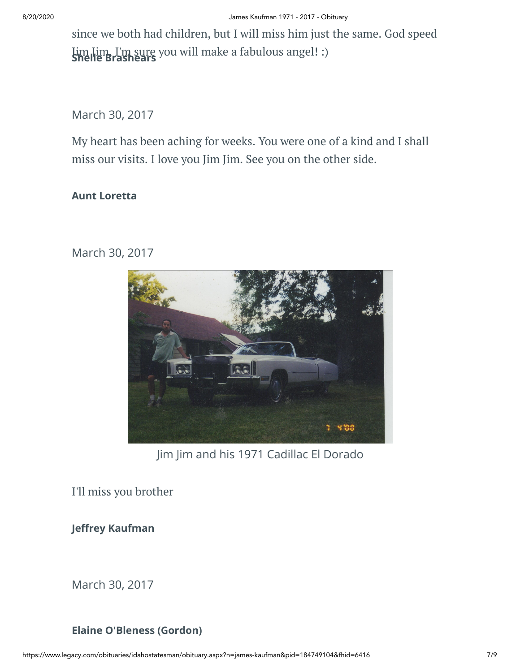since we both had children, but I will miss him just the same. God speed Jim Jim, I'm sure you will make a fabulous angel! :) **Shelle Brashears**

March 30, 2017

My heart has been aching for weeks. You were one of a kind and I shall miss our visits. I love you Jim Jim. See you on the other side.

#### **Aunt Loretta**

March 30, 2017



Jim Jim and his 1971 Cadillac El Dorado

I'll miss you brother

**Jeffrey Kaufman** 

March 30, 2017

#### **Elaine O'Bleness (Gordon)**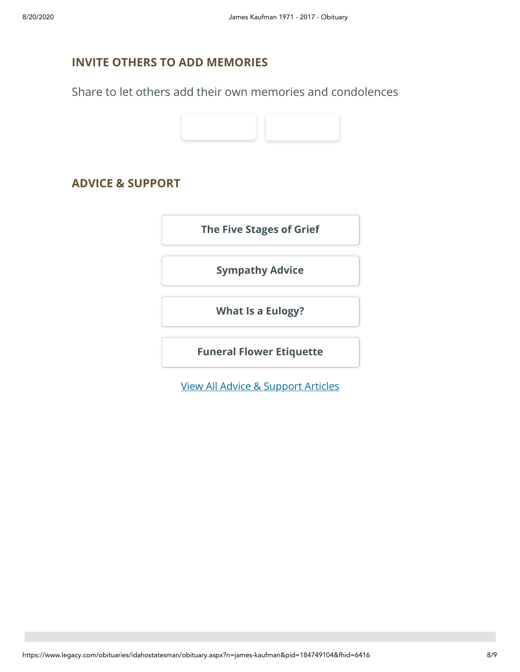#### **INVITE OTHERS TO ADD MEMORIES**

Share to let others add their own memories and condolences



#### **ADVICE & SUPPORT**

**[The Five Stages of Grief](https://www.legacy.com/news/advice-and-support/article/the-five-stages-of-grief)**

**[Sympathy Advice](https://www.legacy.com/news/advice-and-support/article/sympathy-and-condolence-advice)**

**[What Is a Eulogy?](https://www.legacy.com/news/advice-and-support/article/what-is-a-eulogy)**

**[Funeral Flower Etiquette](https://sympathy.legacy.com//en-us/funeral-flowers/article/funeral-flower-etiquette/)**

[View All Advice & Support Articles](http://www.legacy.com/news/advice-and-support)